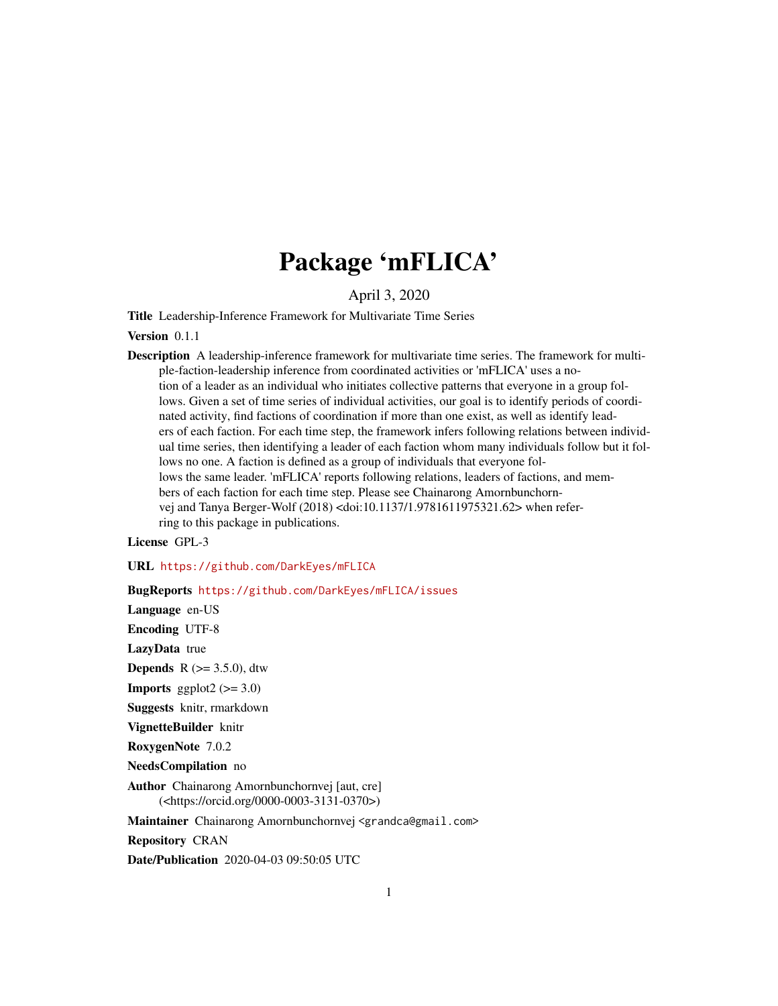# Package 'mFLICA'

April 3, 2020

Title Leadership-Inference Framework for Multivariate Time Series

Version 0.1.1

Description A leadership-inference framework for multivariate time series. The framework for multiple-faction-leadership inference from coordinated activities or 'mFLICA' uses a notion of a leader as an individual who initiates collective patterns that everyone in a group follows. Given a set of time series of individual activities, our goal is to identify periods of coordinated activity, find factions of coordination if more than one exist, as well as identify leaders of each faction. For each time step, the framework infers following relations between individual time series, then identifying a leader of each faction whom many individuals follow but it follows no one. A faction is defined as a group of individuals that everyone follows the same leader. 'mFLICA' reports following relations, leaders of factions, and members of each faction for each time step. Please see Chainarong Amornbunchornvej and Tanya Berger-Wolf (2018) <doi:10.1137/1.9781611975321.62> when referring to this package in publications.

License GPL-3

URL <https://github.com/DarkEyes/mFLICA>

BugReports <https://github.com/DarkEyes/mFLICA/issues>

Language en-US

Encoding UTF-8

LazyData true

**Depends** R  $(>= 3.5.0)$ , dtw

**Imports** ggplot2  $(>= 3.0)$ 

Suggests knitr, rmarkdown

VignetteBuilder knitr

RoxygenNote 7.0.2

NeedsCompilation no

Author Chainarong Amornbunchornvej [aut, cre] (<https://orcid.org/0000-0003-3131-0370>)

Maintainer Chainarong Amornbunchornvej <grandca@gmail.com>

Repository CRAN

Date/Publication 2020-04-03 09:50:05 UTC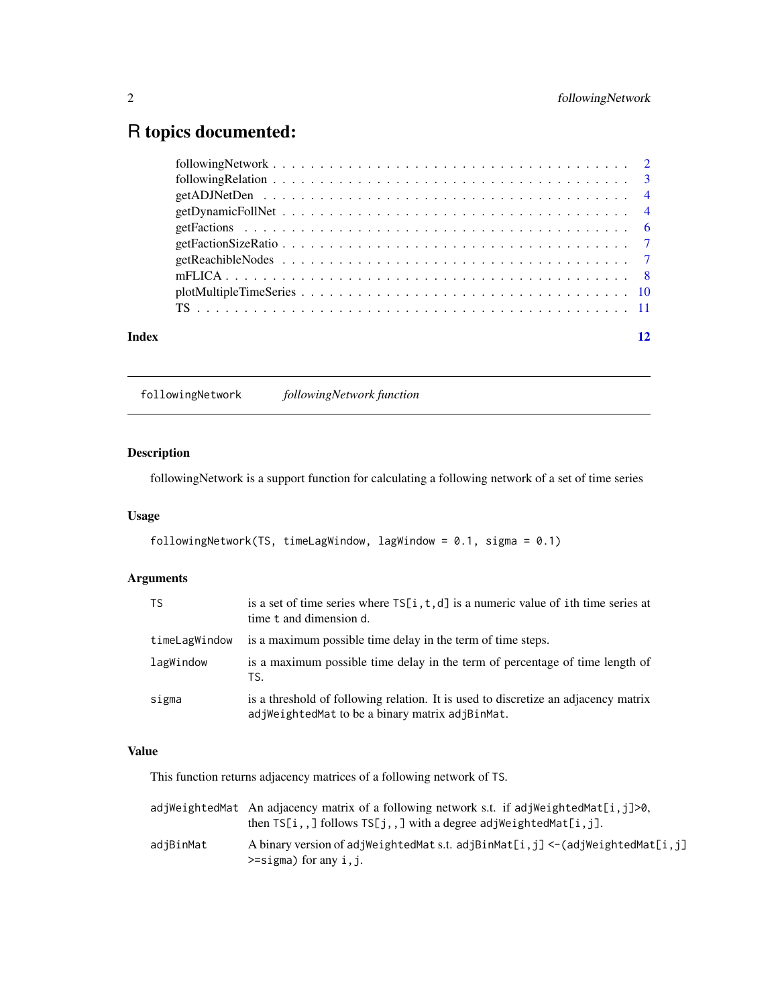## <span id="page-1-0"></span>R topics documented:

| Index |  |  |  |  |  |  |  |  |  |  |  |  |  |  |  |  |  |
|-------|--|--|--|--|--|--|--|--|--|--|--|--|--|--|--|--|--|
|       |  |  |  |  |  |  |  |  |  |  |  |  |  |  |  |  |  |
|       |  |  |  |  |  |  |  |  |  |  |  |  |  |  |  |  |  |
|       |  |  |  |  |  |  |  |  |  |  |  |  |  |  |  |  |  |
|       |  |  |  |  |  |  |  |  |  |  |  |  |  |  |  |  |  |
|       |  |  |  |  |  |  |  |  |  |  |  |  |  |  |  |  |  |
|       |  |  |  |  |  |  |  |  |  |  |  |  |  |  |  |  |  |
|       |  |  |  |  |  |  |  |  |  |  |  |  |  |  |  |  |  |
|       |  |  |  |  |  |  |  |  |  |  |  |  |  |  |  |  |  |
|       |  |  |  |  |  |  |  |  |  |  |  |  |  |  |  |  |  |
|       |  |  |  |  |  |  |  |  |  |  |  |  |  |  |  |  |  |

followingNetwork *followingNetwork function*

#### Description

followingNetwork is a support function for calculating a following network of a set of time series

#### Usage

```
followingNetwork(TS, timeLagWindow, lagWindow = 0.1, sigma = 0.1)
```
#### Arguments

| TS.           | is a set of time series where $TS[i, t, d]$ is a numeric value of ith time series at<br>time t and dimension d.                       |
|---------------|---------------------------------------------------------------------------------------------------------------------------------------|
| timeLagWindow | is a maximum possible time delay in the term of time steps.                                                                           |
| lagWindow     | is a maximum possible time delay in the term of percentage of time length of<br>TS.                                                   |
| sigma         | is a threshold of following relation. It is used to discretize an adjacency matrix<br>adjWeightedMat to be a binary matrix adjBinMat. |

#### Value

This function returns adjacency matrices of a following network of TS.

|           | adjWeightedMat An adjacency matrix of a following network s.t. if adjWeightedMat[i,j]>0,<br>then $TS[i, 1]$ follows $TS[j, 1]$ with a degree adjWeightedMat $[i, j]$ . |
|-----------|------------------------------------------------------------------------------------------------------------------------------------------------------------------------|
| adiBinMat | A binary version of adjWeightedMat s.t. adjBinMat $[i, j] < -$ (adjWeightedMat $[i, j]$<br>$\ge$ =sigma) for any i, j.                                                 |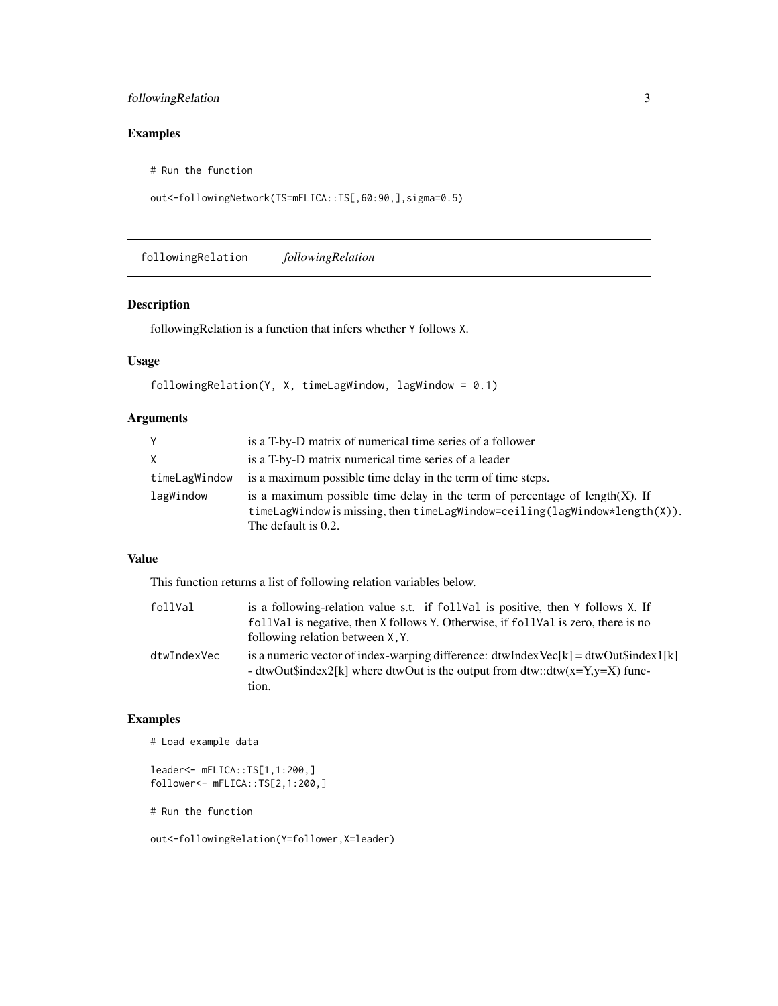#### <span id="page-2-0"></span>followingRelation 3

## Examples

# Run the function

```
out<-followingNetwork(TS=mFLICA::TS[,60:90,],sigma=0.5)
```
followingRelation *followingRelation*

#### Description

followingRelation is a function that infers whether Y follows X.

#### Usage

```
followingRelation(Y, X, timeLagWindow, lagWindow = 0.1)
```
#### Arguments

| Y             | is a T-by-D matrix of numerical time series of a follower                                                                                                                                   |
|---------------|---------------------------------------------------------------------------------------------------------------------------------------------------------------------------------------------|
| X             | is a T-by-D matrix numerical time series of a leader                                                                                                                                        |
| timeLagWindow | is a maximum possible time delay in the term of time steps.                                                                                                                                 |
| lagWindow     | is a maximum possible time delay in the term of percentage of length $(X)$ . If<br>$time$ LagWindow is missing, then timeLagWindow=ceiling(lagWindow*length $(X)$ ).<br>The default is 0.2. |

#### Value

This function returns a list of following relation variables below.

| follVal     | is a following-relation value s.t. if followed is positive, then Y follows X. If<br>foll Val is negative, then X follows Y. Otherwise, if foll Val is zero, there is no       |
|-------------|-------------------------------------------------------------------------------------------------------------------------------------------------------------------------------|
|             | following relation between X, Y.                                                                                                                                              |
| dtwIndexVec | is a numeric vector of index-warping difference: $dtwIndexVec[k] = dtwOut\$index1[k]$<br>- dtwOut\$index2[k] where dtwOut is the output from dtw::dtw(x=Y,y=X) func-<br>tion. |

#### Examples

```
# Load example data
```

```
leader<- mFLICA::TS[1,1:200,]
follower<- mFLICA::TS[2,1:200,]
```

```
# Run the function
```
out<-followingRelation(Y=follower,X=leader)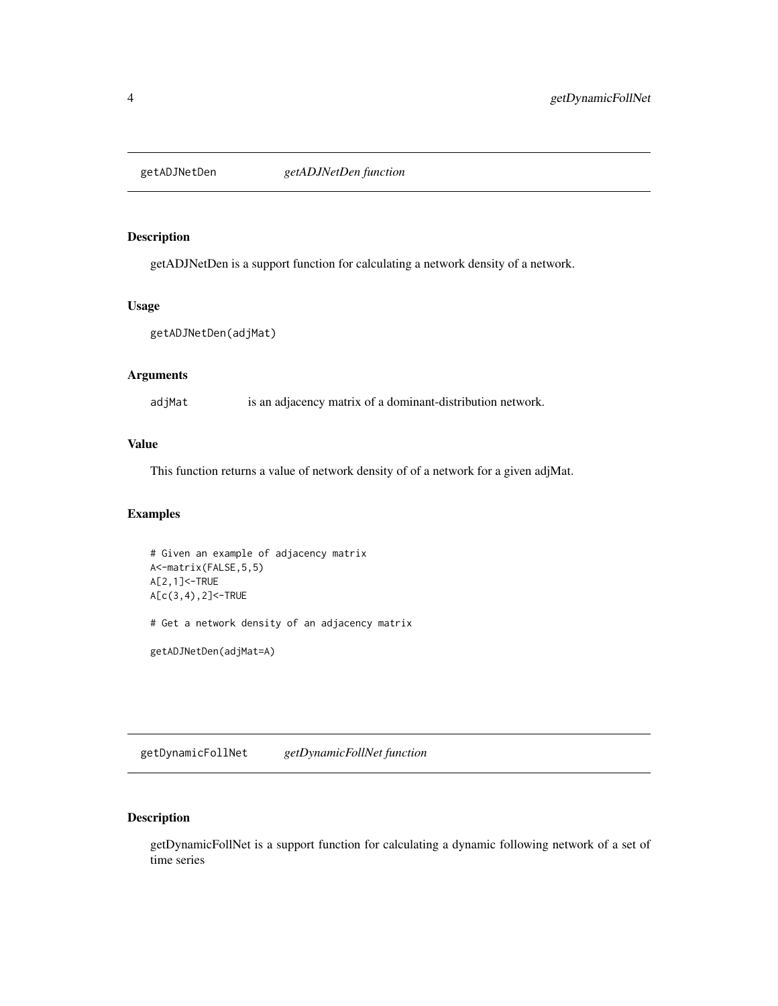<span id="page-3-0"></span>

getADJNetDen is a support function for calculating a network density of a network.

#### Usage

```
getADJNetDen(adjMat)
```
#### Arguments

adjMat is an adjacency matrix of a dominant-distribution network.

#### Value

This function returns a value of network density of of a network for a given adjMat.

#### Examples

```
# Given an example of adjacency matrix
A<-matrix(FALSE,5,5)
A[2,1]<-TRUE
A[c(3,4),2]<-TRUE
# Get a network density of an adjacency matrix
getADJNetDen(adjMat=A)
```
getDynamicFollNet *getDynamicFollNet function*

#### Description

getDynamicFollNet is a support function for calculating a dynamic following network of a set of time series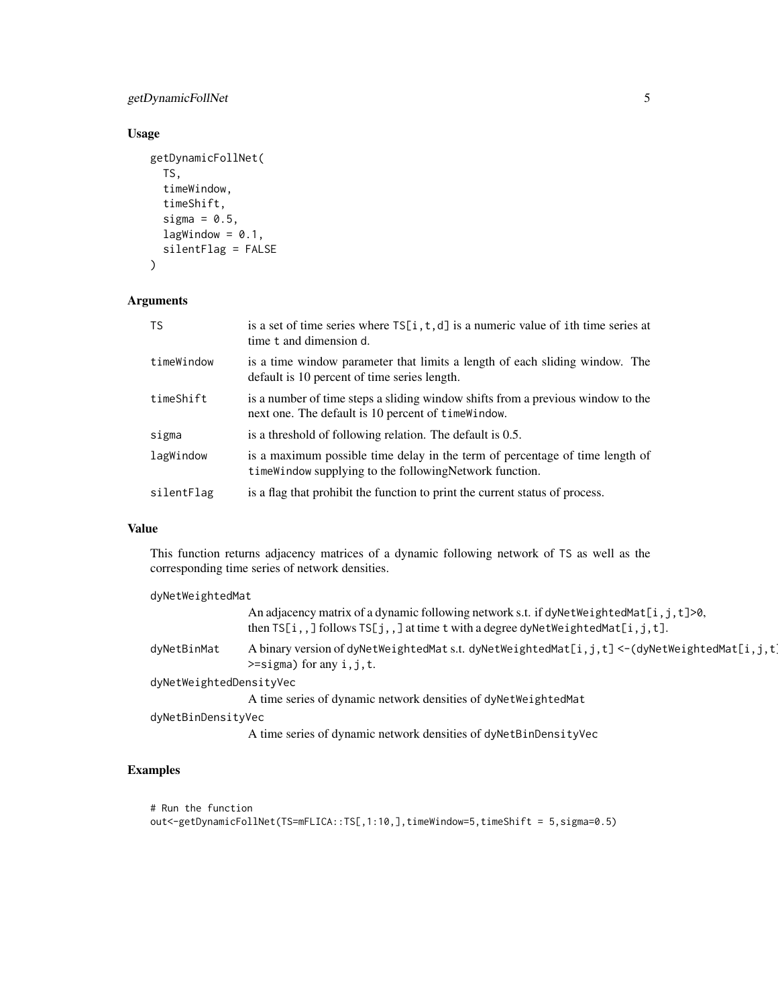#### getDynamicFollNet 5

#### Usage

```
getDynamicFollNet(
  TS,
  timeWindow,
  timeShift,
  sigma = 0.5,
  lagWindow = 0.1,silentFlag = FALSE
\mathcal{L}
```
#### Arguments

| <b>TS</b>  | is a set of time series where $TS[i, t, d]$ is a numeric value of ith time series at<br>time t and dimension d.                          |
|------------|------------------------------------------------------------------------------------------------------------------------------------------|
| timeWindow | is a time window parameter that limits a length of each sliding window. The<br>default is 10 percent of time series length.              |
| timeShift  | is a number of time steps a sliding window shifts from a previous window to the<br>next one. The default is 10 percent of time Window.   |
| sigma      | is a threshold of following relation. The default is 0.5.                                                                                |
| lagWindow  | is a maximum possible time delay in the term of percentage of time length of<br>time Window supplying to the following Network function. |
| silentFlag | is a flag that prohibit the function to print the current status of process.                                                             |

#### Value

This function returns adjacency matrices of a dynamic following network of TS as well as the corresponding time series of network densities.

| dyNetWeightedMat        |                                                                                                                                                                                      |
|-------------------------|--------------------------------------------------------------------------------------------------------------------------------------------------------------------------------------|
|                         | An adjacency matrix of a dynamic following network s.t. if dyNetWeightedMat[i, j, t]>0,<br>then $TS[i, j]$ follows $TS[j, j]$ at time t with a degree dyNetWeightedMat $[i, j, t]$ . |
| dyNetBinMat             | A binary version of dyNetWeightedMat s.t. dyNetWeightedMat[i,j,t] <-(dyNetWeightedMat[i,j,t]<br>$\ge$ =sigma) for any i, j, t.                                                       |
| dyNetWeightedDensityVec |                                                                                                                                                                                      |
|                         | A time series of dynamic network densities of dynetweighted Mat                                                                                                                      |
| dyNetBinDensityVec      |                                                                                                                                                                                      |
|                         | A time series of dynamic network densities of dyNetBinDensityVec                                                                                                                     |

#### Examples

```
# Run the function
out<-getDynamicFollNet(TS=mFLICA::TS[,1:10,],timeWindow=5,timeShift = 5,sigma=0.5)
```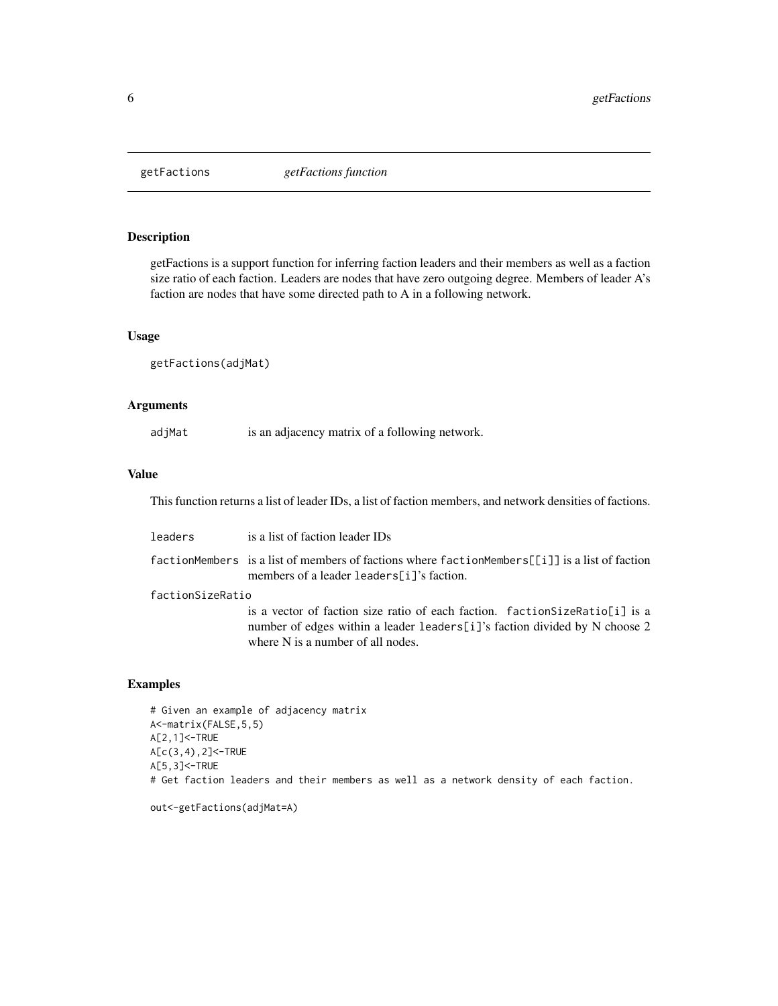<span id="page-5-0"></span>

getFactions is a support function for inferring faction leaders and their members as well as a faction size ratio of each faction. Leaders are nodes that have zero outgoing degree. Members of leader A's faction are nodes that have some directed path to A in a following network.

#### Usage

```
getFactions(adjMat)
```
#### Arguments

adjMat is an adjacency matrix of a following network.

#### Value

This function returns a list of leader IDs, a list of faction members, and network densities of factions.

| leaders          | is a list of faction leader IDs                                                                                                                                                                  |
|------------------|--------------------------------------------------------------------------------------------------------------------------------------------------------------------------------------------------|
|                  | <code>factionMembers is</code> a list of members of factions where <code>factionMembers[[i]]</code> is a list of faction<br>members of a leader leaders [ $i$ ]'s faction.                       |
| factionSizeRatio |                                                                                                                                                                                                  |
|                  | is a vector of faction size ratio of each faction. faction SizeRatio[i] is a<br>number of edges within a leader leaders [i]'s faction divided by N choose 2<br>where N is a number of all nodes. |

#### Examples

# Given an example of adjacency matrix A<-matrix(FALSE,5,5) A[2,1]<-TRUE A[c(3,4),2]<-TRUE A[5,3]<-TRUE # Get faction leaders and their members as well as a network density of each faction.

out<-getFactions(adjMat=A)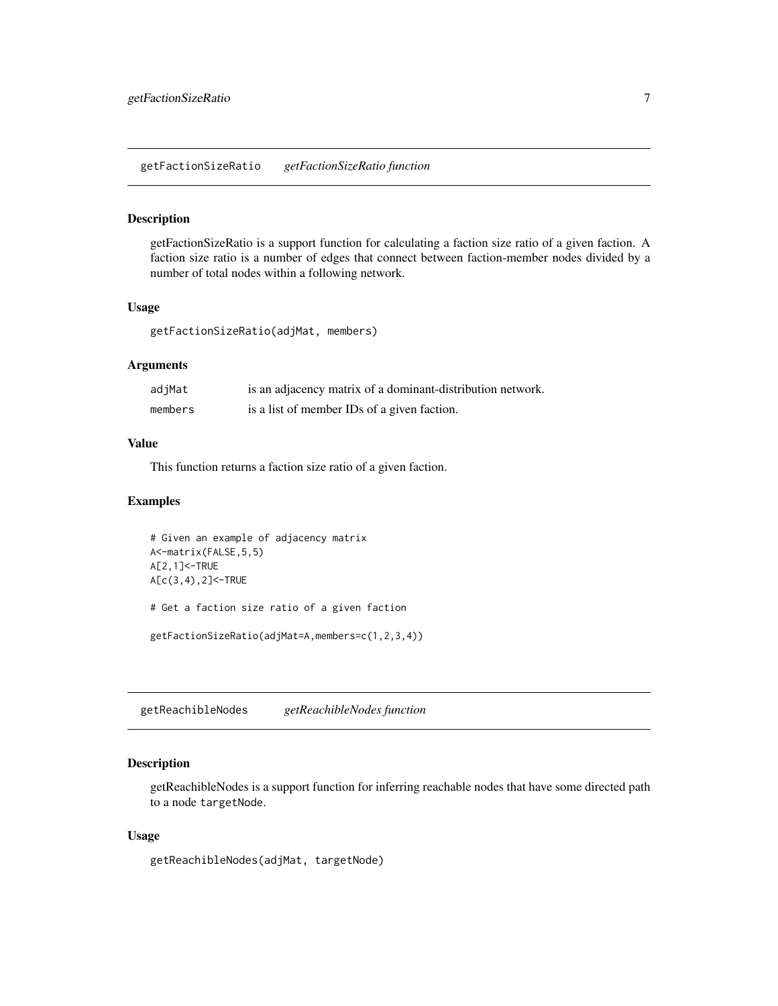<span id="page-6-0"></span>getFactionSizeRatio is a support function for calculating a faction size ratio of a given faction. A faction size ratio is a number of edges that connect between faction-member nodes divided by a number of total nodes within a following network.

#### Usage

getFactionSizeRatio(adjMat, members)

#### Arguments

| adjMat  | is an adjacency matrix of a dominant-distribution network. |
|---------|------------------------------------------------------------|
| members | is a list of member IDs of a given faction.                |

#### Value

This function returns a faction size ratio of a given faction.

#### Examples

```
# Given an example of adjacency matrix
A<-matrix(FALSE,5,5)
A[2,1]<-TRUE
A[c(3,4),2]<-TRUE
# Get a faction size ratio of a given faction
getFactionSizeRatio(adjMat=A,members=c(1,2,3,4))
```
getReachibleNodes *getReachibleNodes function*

#### Description

getReachibleNodes is a support function for inferring reachable nodes that have some directed path to a node targetNode.

#### Usage

getReachibleNodes(adjMat, targetNode)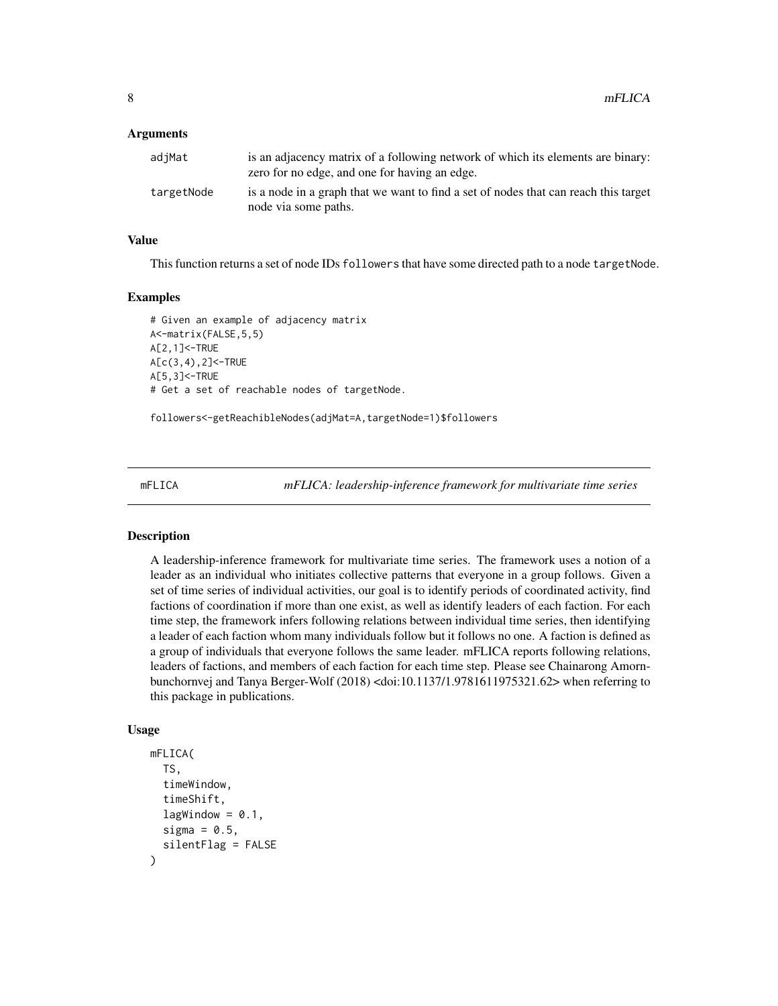#### <span id="page-7-0"></span>Arguments

| adjMat     | is an adjacency matrix of a following network of which its elements are binary:<br>zero for no edge, and one for having an edge. |
|------------|----------------------------------------------------------------------------------------------------------------------------------|
| targetNode | is a node in a graph that we want to find a set of nodes that can reach this target<br>node via some paths.                      |

#### Value

This function returns a set of node IDs followers that have some directed path to a node targetNode.

#### Examples

```
# Given an example of adjacency matrix
A<-matrix(FALSE,5,5)
A[2,1]<-TRUE
A[c(3,4),2]<-TRUE
A[5,3]<-TRUE
# Get a set of reachable nodes of targetNode.
```
followers<-getReachibleNodes(adjMat=A,targetNode=1)\$followers

mFLICA *mFLICA: leadership-inference framework for multivariate time series*

#### Description

A leadership-inference framework for multivariate time series. The framework uses a notion of a leader as an individual who initiates collective patterns that everyone in a group follows. Given a set of time series of individual activities, our goal is to identify periods of coordinated activity, find factions of coordination if more than one exist, as well as identify leaders of each faction. For each time step, the framework infers following relations between individual time series, then identifying a leader of each faction whom many individuals follow but it follows no one. A faction is defined as a group of individuals that everyone follows the same leader. mFLICA reports following relations, leaders of factions, and members of each faction for each time step. Please see Chainarong Amornbunchornvej and Tanya Berger-Wolf (2018) <doi:10.1137/1.9781611975321.62> when referring to this package in publications.

#### Usage

```
mFLICA(
  TS,
  timeWindow,
  timeShift,
  lagWindow = 0.1,
  sigma = 0.5,
  silentFlag = FALSE
)
```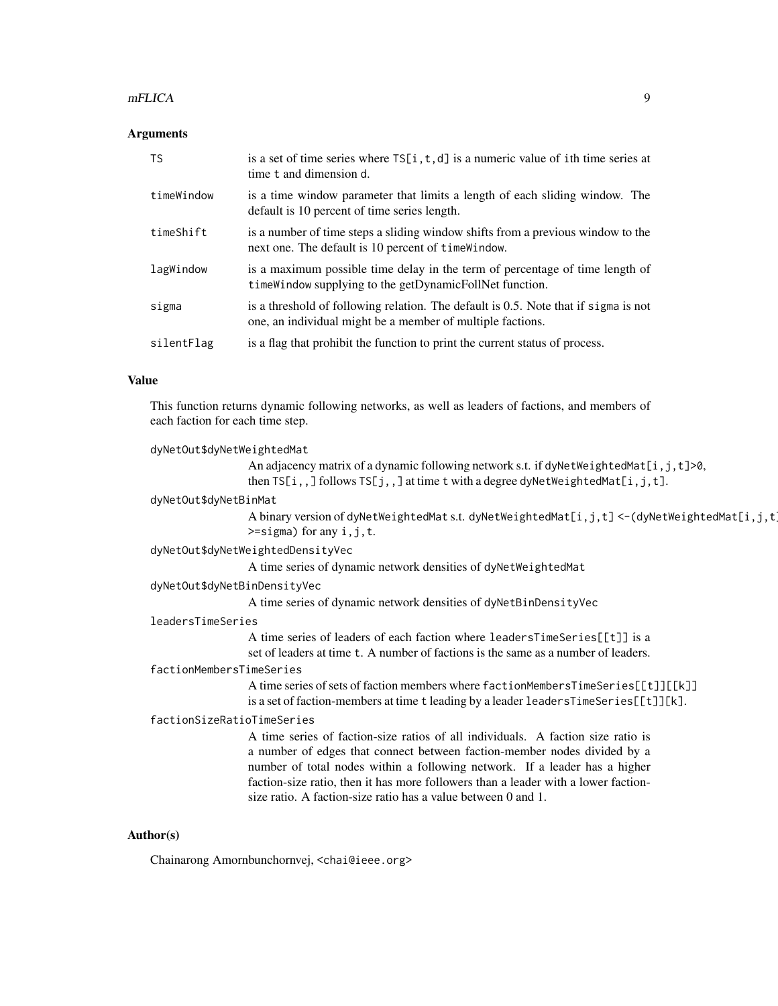#### mFLICA 9

#### **Arguments**

| <b>TS</b>  | is a set of time series where $TS[i, t, d]$ is a numeric value of ith time series at<br>time t and dimension d.                                   |
|------------|---------------------------------------------------------------------------------------------------------------------------------------------------|
| timeWindow | is a time window parameter that limits a length of each sliding window. The<br>default is 10 percent of time series length.                       |
| timeShift  | is a number of time steps a sliding window shifts from a previous window to the<br>next one. The default is 10 percent of time Window.            |
| lagWindow  | is a maximum possible time delay in the term of percentage of time length of<br>time Window supplying to the get Dynamic Foll Net function.       |
| sigma      | is a threshold of following relation. The default is 0.5. Note that if sigma is not<br>one, an individual might be a member of multiple factions. |
| silentFlag | is a flag that prohibit the function to print the current status of process.                                                                      |

#### Value

This function returns dynamic following networks, as well as leaders of factions, and members of each faction for each time step.

```
dyNetOut$dyNetWeightedMat
                 An adjacency matrix of a dynamic following network s.t. if dyNetWeightedMat[i,j,t]>0,
                 then TS[i,,] follows TS[j,,] at time t with a degree dyNetWeightedMat[i,j,t].
dyNetOut$dyNetBinMat
                 A binary version of dyNetWeightedMat s.t. dyNetWeightedMat[i,j,t] <-(dyNetWeightedMat[i,j,t]\ge=sigma) for any i, j, t.
dyNetOut$dyNetWeightedDensityVec
                 A time series of dynamic network densities of dyNetWeightedMat
dyNetOut$dyNetBinDensityVec
                 A time series of dynamic network densities of dyNetBinDensityVec
leadersTimeSeries
                 A time series of leaders of each faction where leadersTimeSeries[[t]] is a
                 set of leaders at time t. A number of factions is the same as a number of leaders.
factionMembersTimeSeries
                 A time series of sets of faction members where factionMembersTimeSeries[[t]][[k]]
                 is a set of faction-members at time t leading by a leader leadersTimeSeries[[t]][k].
factionSizeRatioTimeSeries
                 A time series of faction-size ratios of all individuals. A faction size ratio is
                 a number of edges that connect between faction-member nodes divided by a
                 number of total nodes within a following network. If a leader has a higher
                 faction-size ratio, then it has more followers than a leader with a lower faction-
                 size ratio. A faction-size ratio has a value between 0 and 1.
```
#### Author(s)

Chainarong Amornbunchornvej, <chai@ieee.org>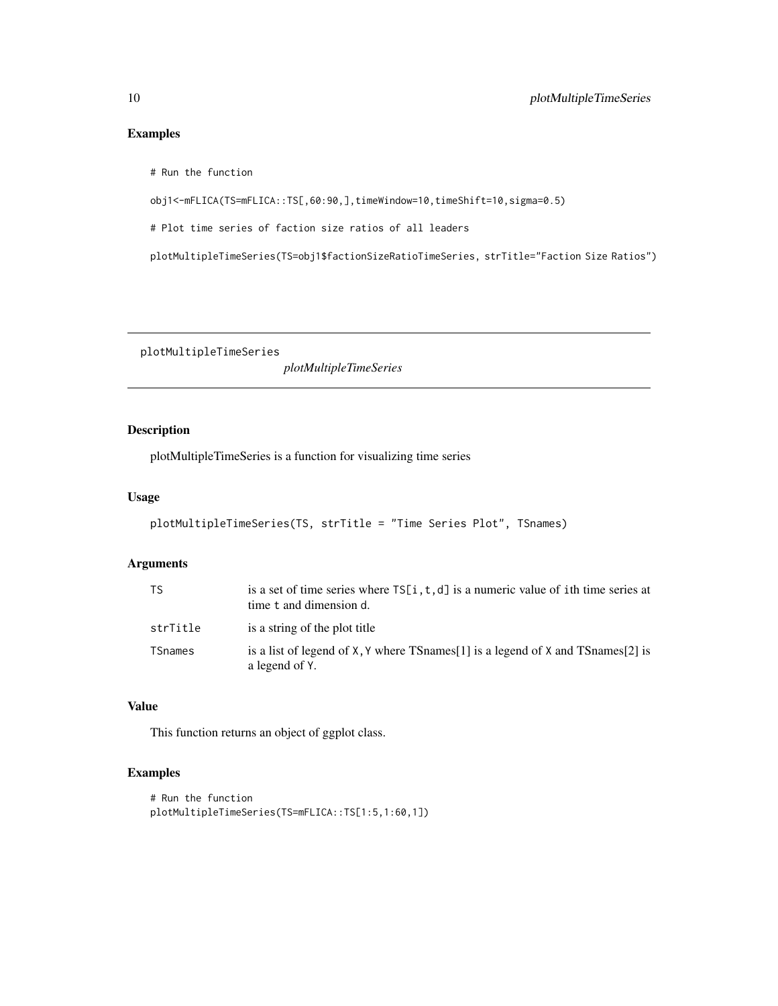#### <span id="page-9-0"></span>Examples

# Run the function

obj1<-mFLICA(TS=mFLICA::TS[,60:90,],timeWindow=10,timeShift=10,sigma=0.5)

# Plot time series of faction size ratios of all leaders

plotMultipleTimeSeries(TS=obj1\$factionSizeRatioTimeSeries, strTitle="Faction Size Ratios")

plotMultipleTimeSeries

*plotMultipleTimeSeries*

#### Description

plotMultipleTimeSeries is a function for visualizing time series

#### Usage

```
plotMultipleTimeSeries(TS, strTitle = "Time Series Plot", TSnames)
```
#### Arguments

| TS.      | is a set of time series where $TS[i, t, d]$ is a numeric value of ith time series at<br>time t and dimension d. |
|----------|-----------------------------------------------------------------------------------------------------------------|
| strTitle | is a string of the plot title                                                                                   |
| TSnames  | is a list of legend of X, Y where TS names [1] is a legend of X and TS names [2] is<br>a legend of Y.           |

## Value

This function returns an object of ggplot class.

#### Examples

```
# Run the function
plotMultipleTimeSeries(TS=mFLICA::TS[1:5,1:60,1])
```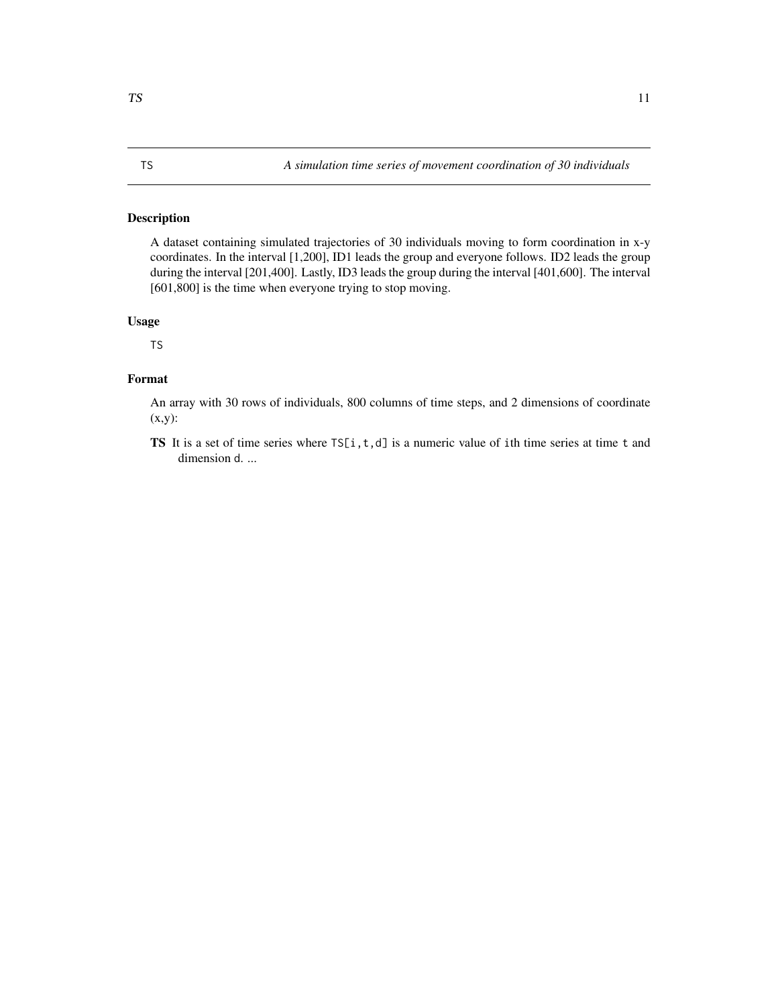<span id="page-10-0"></span>A dataset containing simulated trajectories of 30 individuals moving to form coordination in x-y coordinates. In the interval [1,200], ID1 leads the group and everyone follows. ID2 leads the group during the interval [201,400]. Lastly, ID3 leads the group during the interval [401,600]. The interval [601,800] is the time when everyone trying to stop moving.

#### Usage

TS

#### Format

An array with 30 rows of individuals, 800 columns of time steps, and 2 dimensions of coordinate (x,y):

TS It is a set of time series where  $TS[i, t, d]$  is a numeric value of ith time series at time t and dimension d. ...